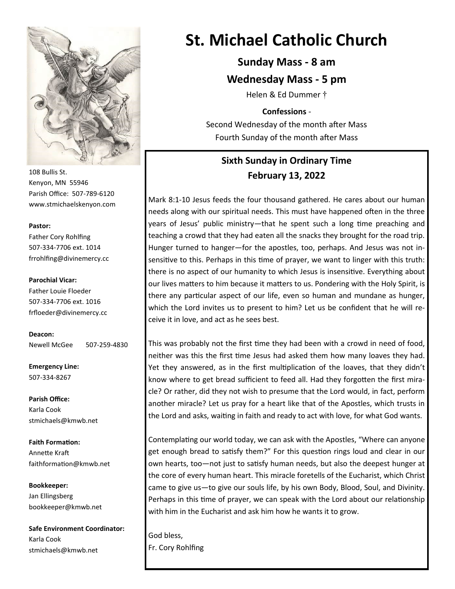

108 Bullis St. Kenyon, MN 55946 Parish Office: 507-789-6120 www.stmichaelskenyon.com

#### **Pastor:**

Father Cory Rohlfing 507-334-7706 ext. 1014 frrohlfing@divinemercy.cc

#### **Parochial Vicar:**

Father Louie Floeder 507-334-7706 ext. 1016 frfloeder@divinemercy.cc

**Deacon:**  Newell McGee 507-259-4830

**Emergency Line:** 507-334-8267

**Parish Office:**  Karla Cook stmichaels@kmwb.net

**Faith Formation:**  Annette Kraft faithformation@kmwb.net

**Bookkeeper:**  Jan Ellingsberg bookkeeper@kmwb.net

**Safe Environment Coordinator:** Karla Cook stmichaels@kmwb.net

# **St. Michael Catholic Church**

# **Sunday Mass - 8 am**

## **Wednesday Mass - 5 pm**

Helen & Ed Dummer †

#### **Confessions** -

Second Wednesday of the month after Mass Fourth Sunday of the month after Mass

# **Sixth Sunday in Ordinary Time February 13, 2022**

Mark 8:1-10 Jesus feeds the four thousand gathered. He cares about our human needs along with our spiritual needs. This must have happened often in the three years of Jesus' public ministry—that he spent such a long time preaching and teaching a crowd that they had eaten all the snacks they brought for the road trip. Hunger turned to hanger—for the apostles, too, perhaps. And Jesus was not insensitive to this. Perhaps in this time of prayer, we want to linger with this truth: there is no aspect of our humanity to which Jesus is insensitive. Everything about our lives matters to him because it matters to us. Pondering with the Holy Spirit, is there any particular aspect of our life, even so human and mundane as hunger, which the Lord invites us to present to him? Let us be confident that he will receive it in love, and act as he sees best.

This was probably not the first time they had been with a crowd in need of food, neither was this the first time Jesus had asked them how many loaves they had. Yet they answered, as in the first multiplication of the loaves, that they didn't know where to get bread sufficient to feed all. Had they forgotten the first miracle? Or rather, did they not wish to presume that the Lord would, in fact, perform another miracle? Let us pray for a heart like that of the Apostles, which trusts in the Lord and asks, waiting in faith and ready to act with love, for what God wants.

Contemplating our world today, we can ask with the Apostles, "Where can anyone get enough bread to satisfy them?" For this question rings loud and clear in our own hearts, too—not just to satisfy human needs, but also the deepest hunger at the core of every human heart. This miracle foretells of the Eucharist, which Christ came to give us—to give our souls life, by his own Body, Blood, Soul, and Divinity. Perhaps in this time of prayer, we can speak with the Lord about our relationship with him in the Eucharist and ask him how he wants it to grow.

God bless, Fr. Cory Rohlfing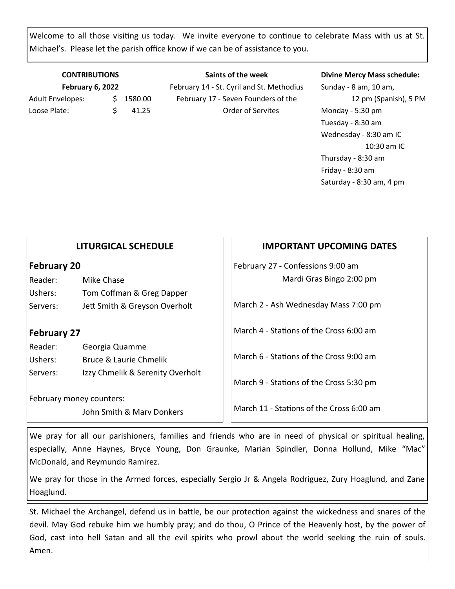Welcome to all those visiting us today. We invite everyone to continue to celebrate Mass with us at St. Michael's. Please let the parish office know if we can be of assistance to you.

#### **CONTRIBUTIONS February 6, 2022**

Adult Envelopes:  $\frac{1580.00}{1580.00}$ Loose Plate: \$ 41.25

**Saints of the week** February 14 - St. Cyril and St. Methodius February 17 - Seven Founders of the Order of Servites

#### **Divine Mercy Mass schedule:**

Sunday - 8 am, 10 am, 12 pm (Spanish), 5 PM Monday - 5:30 pm Tuesday - 8:30 am Wednesday - 8:30 am IC 10:30 am IC Thursday - 8:30 am Friday - 8:30 am Saturday - 8:30 am, 4 pm

| <b>February 20</b> |            |  |
|--------------------|------------|--|
| Reader:            | Mike Chase |  |

**LITURGICAL SCHEDULE**

Ushers: Tom Coffman & Greg Dapper Servers: Jett Smith & Greyson Overholt

# **February 27**

Reader: Georgia Quamme Ushers: Bruce & Laurie Chmelik Servers: Izzy Chmelik & Serenity Overholt

February money counters:

John Smith & Marv Donkers

## **IMPORTANT UPCOMING DATES**

February 27 - Confessions 9:00 am Mardi Gras Bingo 2:00 pm

March 2 - Ash Wednesday Mass 7:00 pm

March 4 - Stations of the Cross 6:00 am

March 6 - Stations of the Cross 9:00 am

March 9 - Stations of the Cross 5:30 pm

March 11 - Stations of the Cross 6:00 am

We pray for all our parishioners, families and friends who are in need of physical or spiritual healing, especially, Anne Haynes, Bryce Young, Don Graunke, Marian Spindler, Donna Hollund, Mike "Mac" McDonald, and Reymundo Ramirez.

We pray for those in the Armed forces, especially Sergio Jr & Angela Rodriguez, Zury Hoaglund, and Zane Hoaglund.

St. Michael the Archangel, defend us in battle, be our protection against the wickedness and snares of the devil. May God rebuke him we humbly pray; and do thou, O Prince of the Heavenly host, by the power of God, cast into hell Satan and all the evil spirits who prowl about the world seeking the ruin of souls. Amen.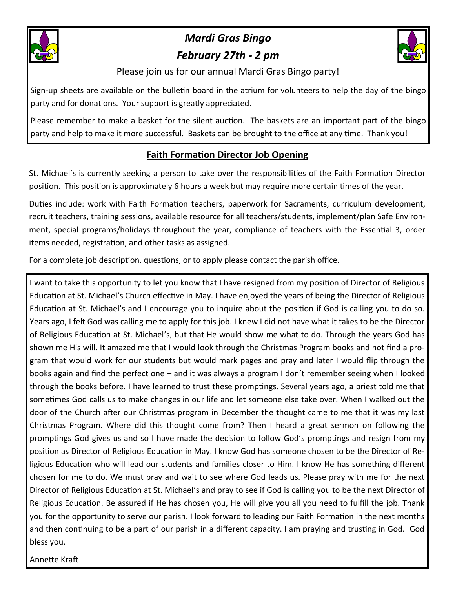

# *Mardi Gras Bingo February 27th - 2 pm*



Please join us for our annual Mardi Gras Bingo party!

Sign-up sheets are available on the bulletin board in the atrium for volunteers to help the day of the bingo party and for donations. Your support is greatly appreciated.

Please remember to make a basket for the silent auction. The baskets are an important part of the bingo party and help to make it more successful. Baskets can be brought to the office at any time. Thank you!

# **Faith Formation Director Job Opening**

St. Michael's is currently seeking a person to take over the responsibilities of the Faith Formation Director position. This position is approximately 6 hours a week but may require more certain times of the year.

Duties include: work with Faith Formation teachers, paperwork for Sacraments, curriculum development, recruit teachers, training sessions, available resource for all teachers/students, implement/plan Safe Environment, special programs/holidays throughout the year, compliance of teachers with the Essential 3, order items needed, registration, and other tasks as assigned.

For a complete job description, questions, or to apply please contact the parish office.

I want to take this opportunity to let you know that I have resigned from my position of Director of Religious Education at St. Michael's Church effective in May. I have enjoyed the years of being the Director of Religious Education at St. Michael's and I encourage you to inquire about the position if God is calling you to do so. Years ago, I felt God was calling me to apply for this job. I knew I did not have what it takes to be the Director of Religious Education at St. Michael's, but that He would show me what to do. Through the years God has shown me His will. It amazed me that I would look through the Christmas Program books and not find a program that would work for our students but would mark pages and pray and later I would flip through the books again and find the perfect one – and it was always a program I don't remember seeing when I looked through the books before. I have learned to trust these promptings. Several years ago, a priest told me that sometimes God calls us to make changes in our life and let someone else take over. When I walked out the door of the Church after our Christmas program in December the thought came to me that it was my last Christmas Program. Where did this thought come from? Then I heard a great sermon on following the promptings God gives us and so I have made the decision to follow God's promptings and resign from my position as Director of Religious Education in May. I know God has someone chosen to be the Director of Religious Education who will lead our students and families closer to Him. I know He has something different chosen for me to do. We must pray and wait to see where God leads us. Please pray with me for the next Director of Religious Education at St. Michael's and pray to see if God is calling you to be the next Director of Religious Education. Be assured if He has chosen you, He will give you all you need to fulfill the job. Thank you for the opportunity to serve our parish. I look forward to leading our Faith Formation in the next months and then continuing to be a part of our parish in a different capacity. I am praying and trusting in God. God bless you.

Annette Kraft